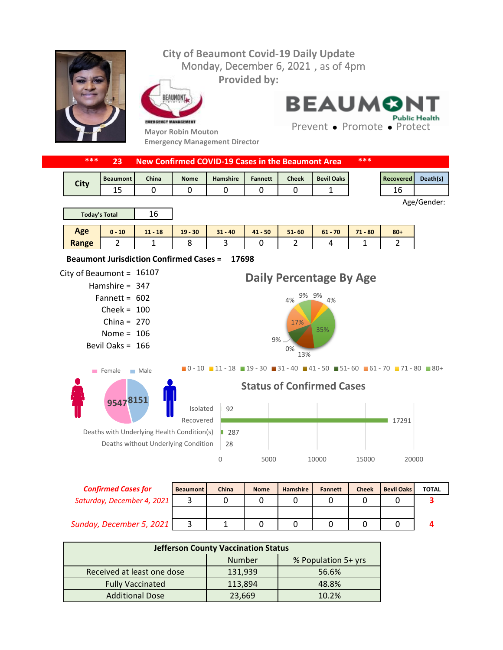## **City of Beaumont Covid-19 Daily Update** Monday, December 6, 2021, as of 4pm **Provided by:** EAUMONT **BEAUMO Public Health** EMERGENCY MANAGEMENT Prevent • Promote • Protect **Mayor Robin Mouton Emergency Management Director \*\*\* 23 New Confirmed COVID-19 Cases in the Beaumont Area \*\*\***

| <b>City</b> | <b>Beaumont</b> | China | <b>Nome</b> | Hamshire | Fannett | <b>Cheek</b> | <b>Bevil Oaks</b> | <b>Recovered</b> | Death(s) |
|-------------|-----------------|-------|-------------|----------|---------|--------------|-------------------|------------------|----------|
|             | --              |       |             |          |         |              |                   | ᅩ                |          |
|             |                 |       |             |          |         |              |                   |                  |          |



| <b>Today's Total</b> |          | $\sim$<br>Ίb |           |           |       |           |           |           |        |
|----------------------|----------|--------------|-----------|-----------|-------|-----------|-----------|-----------|--------|
| Age                  | $0 - 10$ | $11 - 18$    | $19 - 30$ | $31 - 40$ | 41 50 | $51 - 60$ | $61 - 70$ | $71 - 80$ | $80 +$ |
| Range                |          |              |           | ـ         |       |           |           |           | . .    |

**17698 Beaumont Jurisdiction Confirmed Cases =** 



| <b>Confirmed Cases for</b> | <b>Beaumont</b> | China | <b>Nome</b> | <b>Hamshire</b> | <b>Fannett</b> | <b>Cheek</b> | <b>Bevil Oaks</b> | <b>TOTAL</b> |
|----------------------------|-----------------|-------|-------------|-----------------|----------------|--------------|-------------------|--------------|
| Saturday, December 4, 2021 |                 |       |             |                 |                |              |                   |              |
|                            |                 |       |             |                 |                |              |                   |              |
| Sunday, December 5, 2021   |                 |       |             |                 |                |              |                   |              |

| <b>Jefferson County Vaccination Status</b> |         |                     |  |  |  |  |
|--------------------------------------------|---------|---------------------|--|--|--|--|
|                                            | Number  | % Population 5+ yrs |  |  |  |  |
| Received at least one dose                 | 131,939 | 56.6%               |  |  |  |  |
| <b>Fully Vaccinated</b>                    | 113,894 | 48.8%               |  |  |  |  |
| <b>Additional Dose</b>                     | 23,669  | 10.2%               |  |  |  |  |